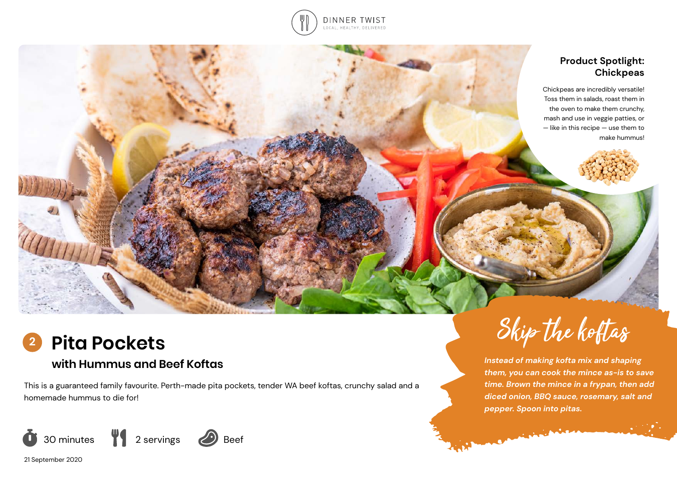

### **Product Spotlight: Chickpeas**

Chickpeas are incredibly versatile! Toss them in salads, roast them in the oven to make them crunchy, mash and use in veggie patties, or — like in this recipe — use them to make hummus!



# **with Hummus and Beef Koftas**

This is a guaranteed family favourite. Perth-made pita pockets, tender WA beef koftas, crunchy salad and a homemade hummus to die for!



21 September 2020



*Instead of making kofta mix and shaping them, you can cook the mince as-is to save time. Brown the mince in a frypan, then add diced onion, BBQ sauce, rosemary, salt and pepper. Spoon into pitas.* 

Companies Ave